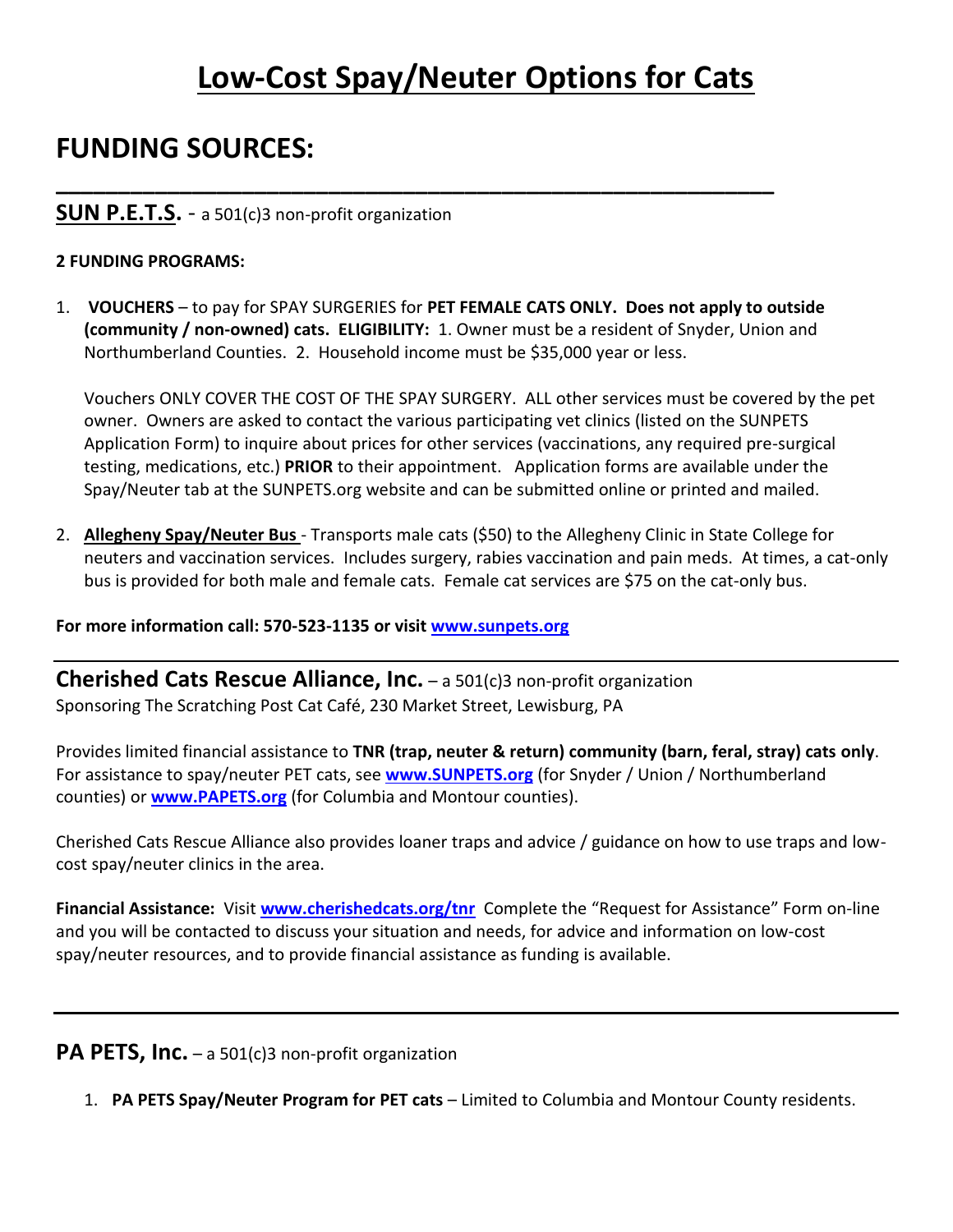# **Low-Cost Spay/Neuter Options for Cats**

# **FUNDING SOURCES:**

#### **SUN P.E.T.S.** - a 501(c)3 non-profit organization

#### **2 FUNDING PROGRAMS:**

1. **VOUCHERS** – to pay for SPAY SURGERIES for **PET FEMALE CATS ONLY. Does not apply to outside (community / non-owned) cats. ELIGIBILITY:** 1. Owner must be a resident of Snyder, Union and Northumberland Counties. 2. Household income must be \$35,000 year or less.

**\_\_\_\_\_\_\_\_\_\_\_\_\_\_\_\_\_\_\_\_\_\_\_\_\_\_\_\_\_\_\_\_\_\_\_\_\_\_\_\_\_\_\_\_\_\_\_\_\_\_\_\_\_\_\_\_\_\_**

Vouchers ONLY COVER THE COST OF THE SPAY SURGERY. ALL other services must be covered by the pet owner. Owners are asked to contact the various participating vet clinics (listed on the SUNPETS Application Form) to inquire about prices for other services (vaccinations, any required pre-surgical testing, medications, etc.) **PRIOR** to their appointment. Application forms are available under the Spay/Neuter tab at the SUNPETS.org website and can be submitted online or printed and mailed.

2. **Allegheny Spay/Neuter Bus** - Transports male cats (\$50) to the Allegheny Clinic in State College for neuters and vaccination services. Includes surgery, rabies vaccination and pain meds. At times, a cat-only bus is provided for both male and female cats. Female cat services are \$75 on the cat-only bus.

**For more information call: 570-523-1135 or visit [www.sunpets.org](http://www.sunpets.org/)**

**Cherished Cats Rescue Alliance, Inc.** – a 501(c)3 non-profit organization Sponsoring The Scratching Post Cat Café, 230 Market Street, Lewisburg, PA

Provides limited financial assistance to **TNR (trap, neuter & return) community (barn, feral, stray) cats only**. For assistance to spay/neuter PET cats, see **[www.SUNPETS.org](http://www.sunpets.org/)** (for Snyder / Union / Northumberland counties) or **[www.PAPETS.org](http://www.papets.org/)** (for Columbia and Montour counties).

Cherished Cats Rescue Alliance also provides loaner traps and advice / guidance on how to use traps and lowcost spay/neuter clinics in the area.

**Financial Assistance:** Visit **[www.cherishedcats.org/tnr](http://www.cherishedcats.org/tnr)** Complete the "Request for Assistance" Form on-line and you will be contacted to discuss your situation and needs, for advice and information on low-cost spay/neuter resources, and to provide financial assistance as funding is available.

**PA PETS, Inc.** – a 501(c)3 non-profit organization

1. **PA PETS Spay/Neuter Program for PET cats** – Limited to Columbia and Montour County residents.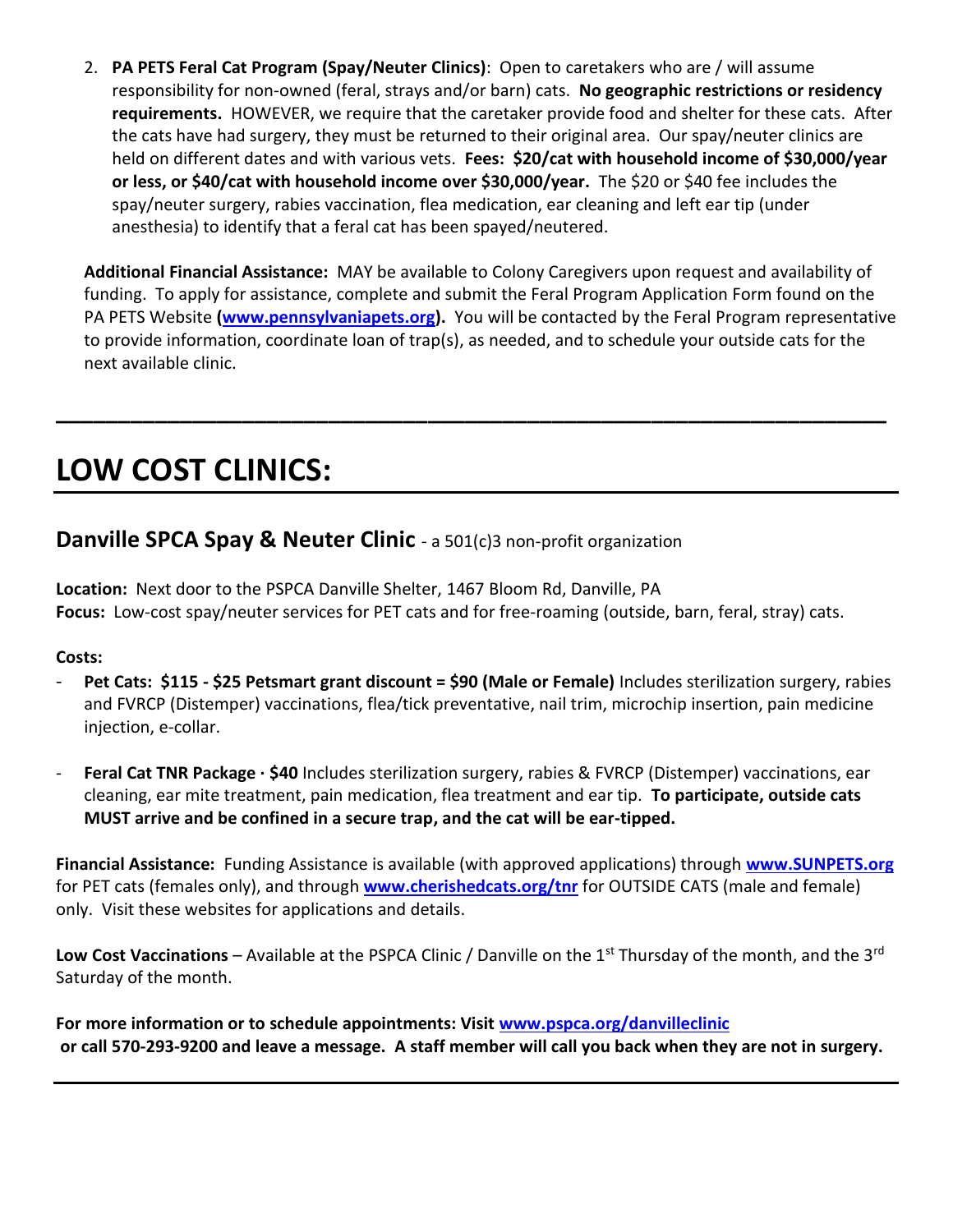2. **PA PETS Feral Cat Program (Spay/Neuter Clinics)**: Open to caretakers who are / will assume responsibility for non-owned (feral, strays and/or barn) cats. **No geographic restrictions or residency requirements.** HOWEVER, we require that the caretaker provide food and shelter for these cats. After the cats have had surgery, they must be returned to their original area. Our spay/neuter clinics are held on different dates and with various vets. **Fees: \$20/cat with household income of \$30,000/year or less, or \$40/cat with household income over \$30,000/year.** The \$20 or \$40 fee includes the spay/neuter surgery, rabies vaccination, flea medication, ear cleaning and left ear tip (under anesthesia) to identify that a feral cat has been spayed/neutered.

**Additional Financial Assistance:** MAY be available to Colony Caregivers upon request and availability of funding. To apply for assistance, complete and submit the Feral Program Application Form found on the PA PETS Website **[\(www.pennsylvaniapets.org\)](http://www.pennsylvaniapets.org/).** You will be contacted by the Feral Program representative to provide information, coordinate loan of trap(s), as needed, and to schedule your outside cats for the next available clinic.

**\_\_\_\_\_\_\_\_\_\_\_\_\_\_\_\_\_\_\_\_\_\_\_\_\_\_\_\_\_\_\_\_\_\_\_\_\_\_\_\_\_\_\_\_\_\_\_\_\_\_\_\_\_\_\_\_\_\_\_\_\_\_\_\_\_\_\_**

# **LOW COST CLINICS:**

## **Danville SPCA Spay & Neuter Clinic** - a 501(c)3 non-profit organization

**Location:** Next door to the PSPCA Danville Shelter, 1467 Bloom Rd, Danville, PA **Focus:** Low-cost spay/neuter services for PET cats and for free-roaming (outside, barn, feral, stray) cats.

#### **Costs:**

- **Pet Cats: \$115 - \$25 Petsmart grant discount = \$90 (Male or Female)** Includes sterilization surgery, rabies and FVRCP (Distemper) vaccinations, flea/tick preventative, nail trim, microchip insertion, pain medicine injection, e-collar.
- **Feral Cat TNR Package · \$40** Includes sterilization surgery, rabies & FVRCP (Distemper) vaccinations, ear cleaning, ear mite treatment, pain medication, flea treatment and ear tip. **To participate, outside cats MUST arrive and be confined in a secure trap, and the cat will be ear-tipped.**

**Financial Assistance:** Funding Assistance is available (with approved applications) through **[www.SUNPETS.org](http://www.sunpets.org/)** for PET cats (females only), and through **[www.cherishedcats.org/tnr](http://www.cherishedcats.org/tnr)** for OUTSIDE CATS (male and female) only. Visit these websites for applications and details.

Low Cost Vaccinations – Available at the PSPCA Clinic / Danville on the 1<sup>st</sup> Thursday of the month, and the 3<sup>rd</sup> Saturday of the month.

**For more information or to schedule appointments: Visit [www.pspca.org/danvilleclinic](http://www.pspca.org/danvilleclinic) or call 570-293-9200 and leave a message. A staff member will call you back when they are not in surgery.**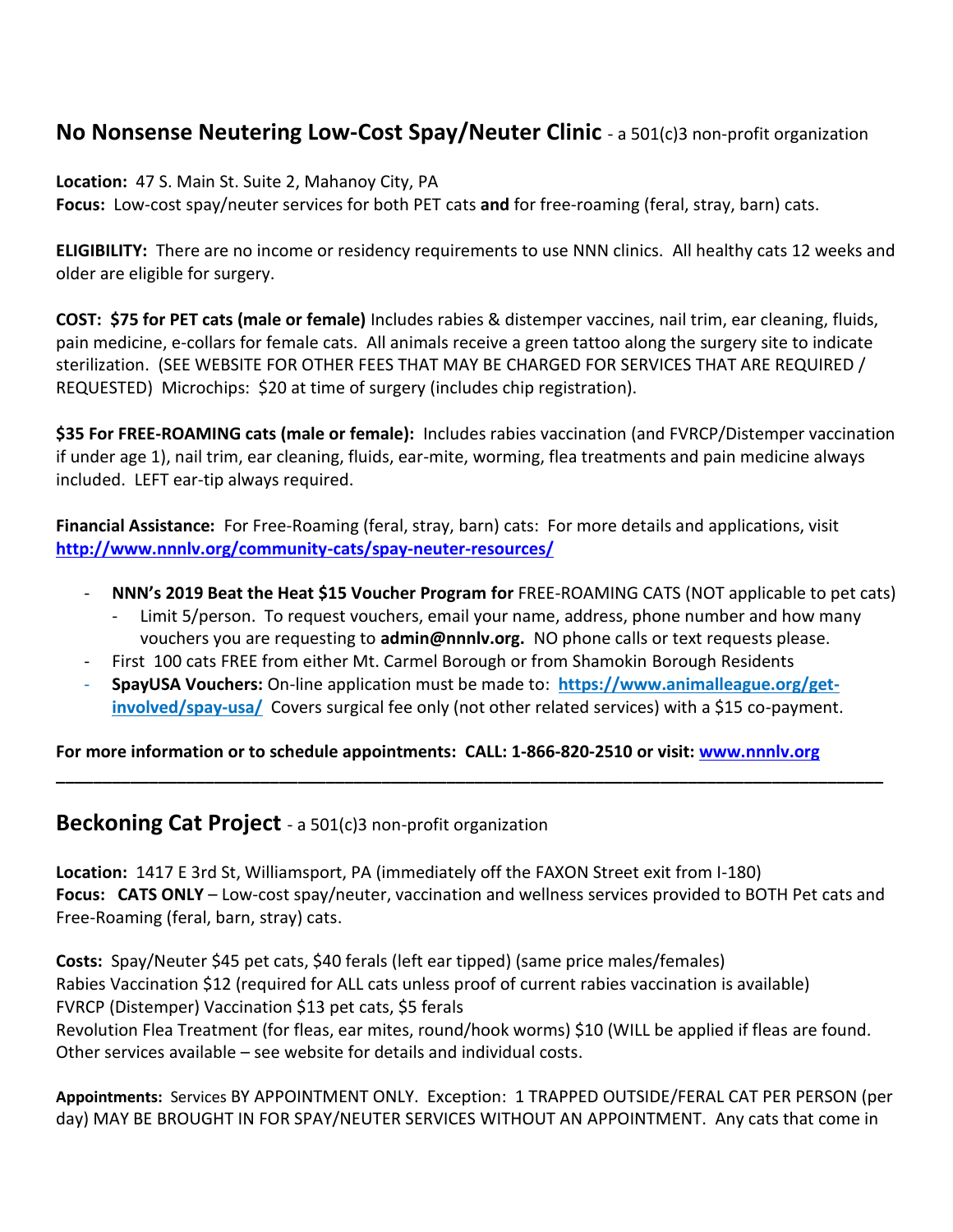## **No Nonsense Neutering Low-Cost Spay/Neuter Clinic** - a 501(c)3 non-profit organization

**Location:** 47 S. Main St. Suite 2, Mahanoy City, PA

**Focus:** Low-cost spay/neuter services for both PET cats **and** for free-roaming (feral, stray, barn) cats.

**ELIGIBILITY:** There are no income or residency requirements to use NNN clinics. All healthy cats 12 weeks and older are eligible for surgery.

**COST: \$75 for PET cats (male or female)** Includes rabies & distemper vaccines, nail trim, ear cleaning, fluids, pain medicine, e-collars for female cats. All animals receive a green tattoo along the surgery site to indicate sterilization. (SEE WEBSITE FOR OTHER FEES THAT MAY BE CHARGED FOR SERVICES THAT ARE REQUIRED / REQUESTED) Microchips: \$20 at time of surgery (includes chip registration).

**\$35 For FREE-ROAMING cats (male or female):** Includes rabies vaccination (and FVRCP/Distemper vaccination if under age 1), nail trim, ear cleaning, fluids, ear-mite, worming, flea treatments and pain medicine always included. LEFT ear-tip always required.

**Financial Assistance:** For Free-Roaming (feral, stray, barn) cats: For more details and applications, visit **<http://www.nnnlv.org/community-cats/spay-neuter-resources/>**

- **NNN's 2019 Beat the Heat \$15 Voucher Program for** FREE-ROAMING CATS (NOT applicable to pet cats)
	- Limit 5/person. To request vouchers, email your name, address, phone number and how many vouchers you are requesting to **admin@nnnlv.org.** NO phone calls or text requests please.
- First 100 cats FREE from either Mt. Carmel Borough or from Shamokin Borough Residents
- **SpayUSA Vouchers:** On-line application must be made to: **[https://www.animalleague.org/get](https://www.animalleague.org/get-involved/spay-usa/)[involved/spay-usa/](https://www.animalleague.org/get-involved/spay-usa/)** Covers surgical fee only (not other related services) with a \$15 co-payment.

**\_\_\_\_\_\_\_\_\_\_\_\_\_\_\_\_\_\_\_\_\_\_\_\_\_\_\_\_\_\_\_\_\_\_\_\_\_\_\_\_\_\_\_\_\_\_\_\_\_\_\_\_\_\_\_\_\_\_\_\_\_\_\_\_\_\_\_\_\_\_\_\_\_\_\_\_\_\_\_\_\_\_\_\_\_\_\_\_\_**

**For more information or to schedule appointments: CALL: 1-866-820-2510 or visit: [www.nnnlv.org](http://www.nnnlv.org/)**

### **Beckoning Cat Project** - a 501(c)3 non-profit organization

**Location:** 1417 E 3rd St, Williamsport, PA (immediately off the FAXON Street exit from I-180) **Focus: CATS ONLY** – Low-cost spay/neuter, vaccination and wellness services provided to BOTH Pet cats and Free-Roaming (feral, barn, stray) cats.

**Costs:** Spay/Neuter \$45 pet cats, \$40 ferals (left ear tipped) (same price males/females) Rabies Vaccination \$12 (required for ALL cats unless proof of current rabies vaccination is available) FVRCP (Distemper) Vaccination \$13 pet cats, \$5 ferals

Revolution Flea Treatment (for fleas, ear mites, round/hook worms) \$10 (WILL be applied if fleas are found. Other services available – see website for details and individual costs.

**Appointments:** Services BY APPOINTMENT ONLY. Exception: 1 TRAPPED OUTSIDE/FERAL CAT PER PERSON (per day) MAY BE BROUGHT IN FOR SPAY/NEUTER SERVICES WITHOUT AN APPOINTMENT. Any cats that come in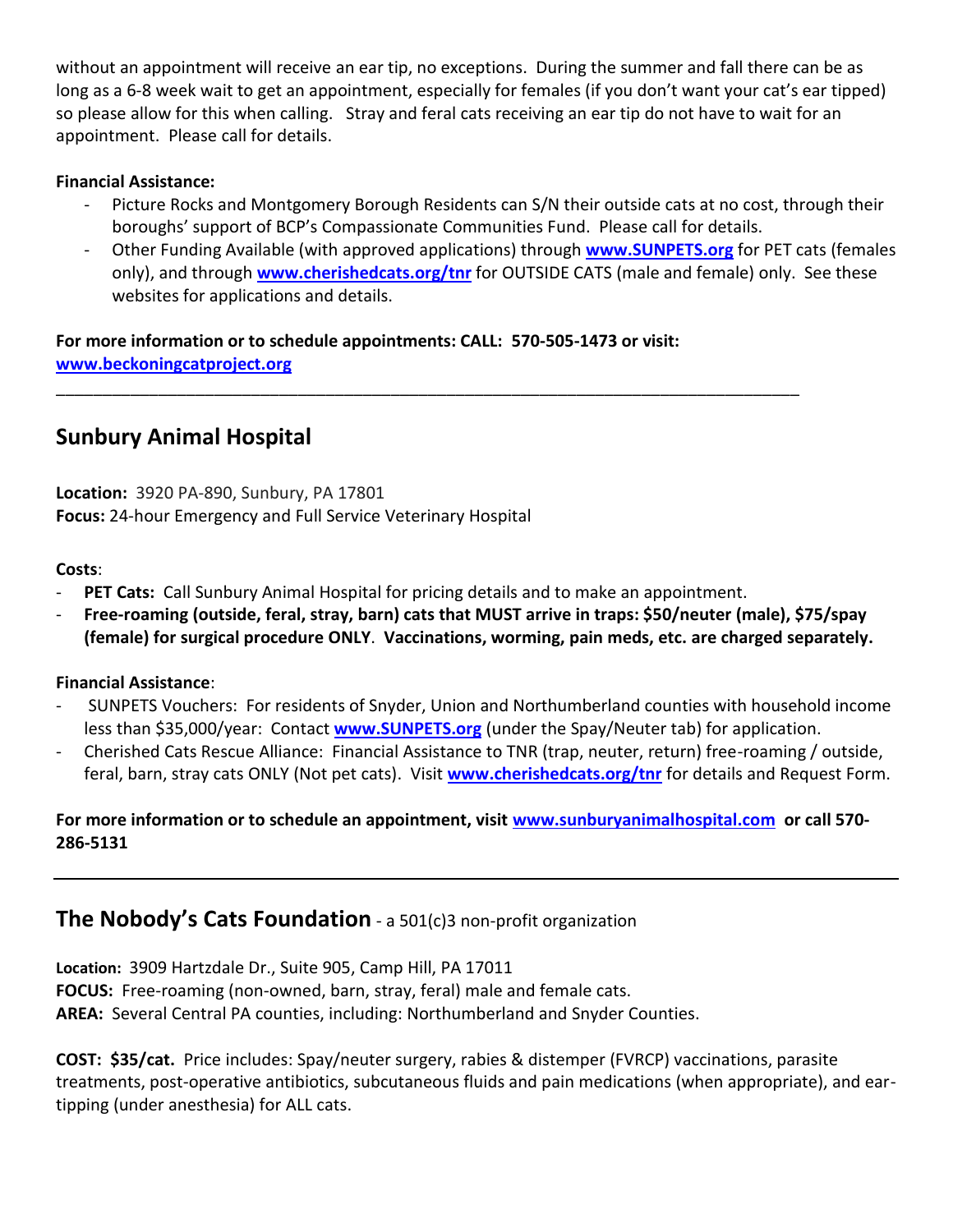without an appointment will receive an ear tip, no exceptions. During the summer and fall there can be as long as a 6-8 week wait to get an appointment, especially for females (if you don't want your cat's ear tipped) so please allow for this when calling. Stray and feral cats receiving an ear tip do not have to wait for an appointment. Please call for details.

#### **Financial Assistance:**

- Picture Rocks and Montgomery Borough Residents can S/N their outside cats at no cost, through their boroughs' support of BCP's Compassionate Communities Fund. Please call for details.
- Other Funding Available (with approved applications) through **[www.SUNPETS.org](http://www.sunpets.org/)** for PET cats (females only), and through **[www.cherishedcats.org/tnr](http://www.cherishedcats.org/tnr)** for OUTSIDE CATS (male and female) only. See these websites for applications and details.

**For more information or to schedule appointments: CALL: 570-505-1473 or visit: [www.beckoningcatproject.org](http://www.beckoningcatproject.org/)**

\_\_\_\_\_\_\_\_\_\_\_\_\_\_\_\_\_\_\_\_\_\_\_\_\_\_\_\_\_\_\_\_\_\_\_\_\_\_\_\_\_\_\_\_\_\_\_\_\_\_\_\_\_\_\_\_\_\_\_\_\_\_\_\_\_\_\_\_\_\_\_\_\_\_\_\_\_\_\_\_

## **Sunbury Animal Hospital**

**Location:** 3920 PA-890, Sunbury, PA 17801 **Focus:** 24-hour Emergency and Full Service Veterinary Hospital

#### **Costs**:

- **PET Cats:** Call Sunbury Animal Hospital for pricing details and to make an appointment.
- **Free-roaming (outside, feral, stray, barn) cats that MUST arrive in traps: \$50/neuter (male), \$75/spay (female) for surgical procedure ONLY**. **Vaccinations, worming, pain meds, etc. are charged separately.**

#### **Financial Assistance**:

- SUNPETS Vouchers: For residents of Snyder, Union and Northumberland counties with household income less than \$35,000/year: Contact **[www.SUNPETS.org](http://www.sunpets.org/)** (under the Spay/Neuter tab) for application.
- Cherished Cats Rescue Alliance: Financial Assistance to TNR (trap, neuter, return) free-roaming / outside, feral, barn, stray cats ONLY (Not pet cats). Visit **[www.cherishedcats.org/tnr](http://www.cherishedcats.org/tnr)** for details and Request Form.

#### **For more information or to schedule an appointment, visit [www.sunburyanimalhospital.com](http://www.sunburyanimalhospital.com/) or call 570- 286-5131**

## **The Nobody's Cats Foundation** - a 501(c)3 non-profit organization

**Location:** [3909 Hartzdale Dr., Suite 905, Camp Hill, PA 17011](http://www.nobodyscats.org/contact.php) **FOCUS:** Free-roaming (non-owned, barn, stray, feral) male and female cats. **AREA:** Several Central PA counties, including: Northumberland and Snyder Counties.

**COST: \$35/cat.** Price includes: Spay/neuter surgery, rabies & distemper (FVRCP) vaccinations, parasite treatments, post-operative antibiotics, subcutaneous fluids and pain medications (when appropriate), and eartipping (under anesthesia) for ALL cats.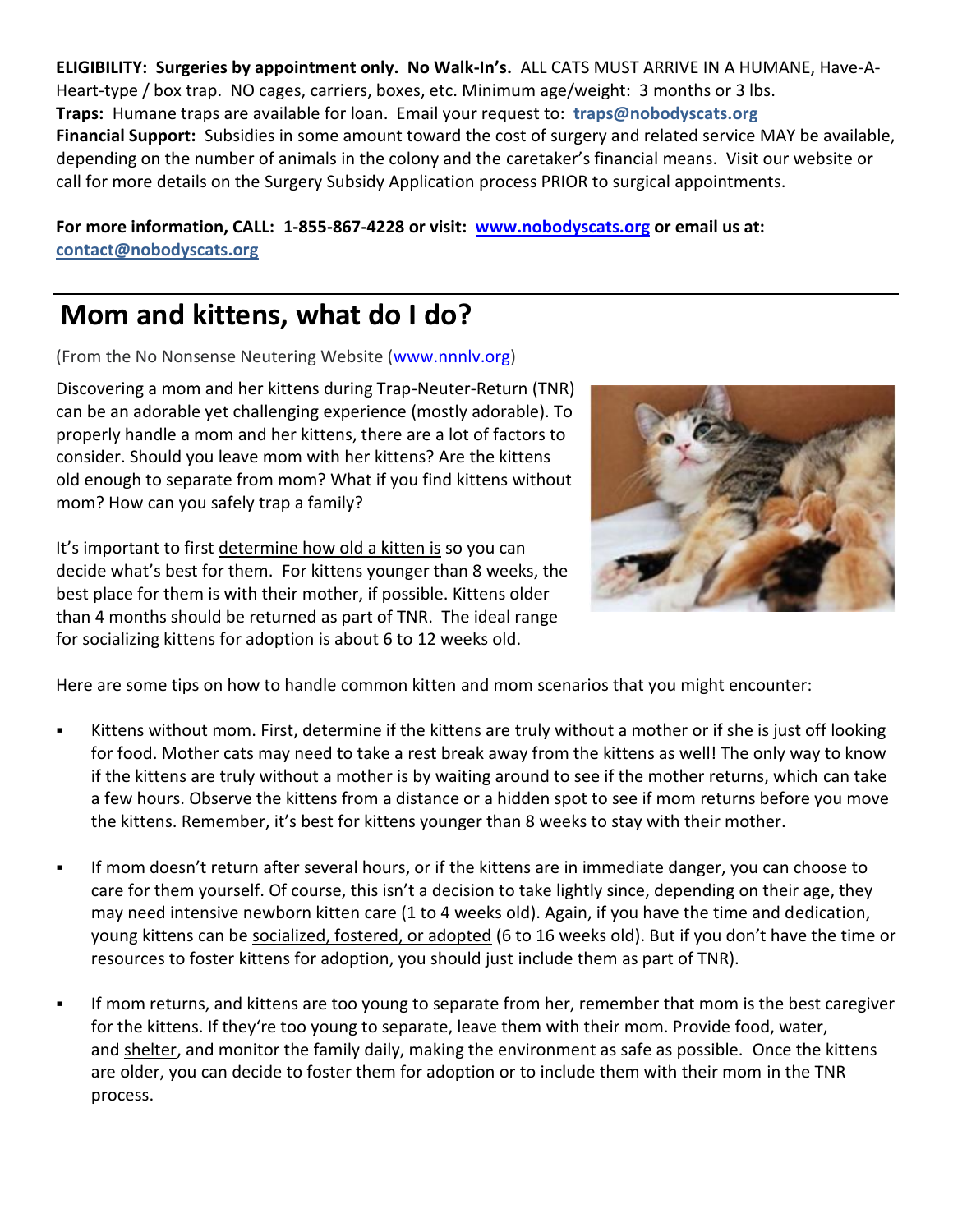**ELIGIBILITY: Surgeries by appointment only. No Walk-In's.** ALL CATS MUST ARRIVE IN A HUMANE, Have-A-Heart-type / box trap. NO cages, carriers, boxes, etc. Minimum age/weight: 3 months or 3 lbs. **Traps:** Humane traps are available for loan. Email your request to: **[traps@nobodyscats.org](mailto:traps@nobodyscats.org) Financial Support:** Subsidies in some amount toward the cost of surgery and related service MAY be available, depending on the number of animals in the colony and the caretaker's financial means. Visit our website or call for more details on the Surgery Subsidy Application process PRIOR to surgical appointments.

**For more information, CALL: 1-855-867-4228 or visit: [www.nobodyscats.org](http://www.nobodyscats.org/) or email us at: [contact@nobodyscats.org](mailto:contact@nobodyscats.org)**

# **Mom and kittens, what do I do?**

(From the No Nonsense Neutering Website [\(www.nnnlv.org\)](http://www.nnnlv.org/)

Discovering a mom and her kittens during Trap-Neuter-Return (TNR) can be an adorable yet challenging experience (mostly adorable). To properly handle a mom and her kittens, there are a lot of factors to consider. Should you leave mom with her kittens? Are the kittens old enough to separate from mom? What if you find kittens without mom? How can you safely trap a family?

It's important to first [determine how old a kitten is](http://www.alleycat.org/resources/kitten-progression) so you can decide what's best for them. For kittens younger than 8 weeks, the best place for them is with their mother, if possible. Kittens older than 4 months should be returned as part of TNR. The ideal range for socializing kittens for adoption is about 6 to 12 weeks old.



Here are some tips on how to handle common kitten and mom scenarios that you might encounter:

- Kittens without mom. First, determine if the kittens are truly without a mother or if she is just off looking for food. Mother cats may need to take a rest break away from the kittens as well! The only way to know if the kittens are truly without a mother is by waiting around to see if the mother returns, which can take a few hours. Observe the kittens from a distance or a hidden spot to see if mom returns before you move the kittens. Remember, it's best for kittens younger than 8 weeks to stay with their mother.
- If mom doesn't return after several hours, or if the kittens are in immediate danger, you can choose to care for them yourself. Of course, this isn't a decision to take lightly since, depending on their age, they may need intensive newborn kitten care (1 to 4 weeks old). Again, if you have the time and dedication, young kittens can be [socialized, fostered, or adopted](http://www.alleycat.org/community-cat-care/socializing-kittens) (6 to 16 weeks old). But if you don't have the time or resources to foster kittens for adoption, you should just include them as part of TNR).
- If mom returns, and kittens are too young to separate from her, remember that mom is the best caregiver for the kittens. If they're too young to separate, leave them with their mom. Provide food, water, and [shelter,](http://www.alleycat.org/resources/feral-cat-shelter-options-gallery/) and monitor the family daily, making the environment as safe as possible. Once the kittens are older, you can decide to foster them for adoption or to include them with their mom in the TNR process.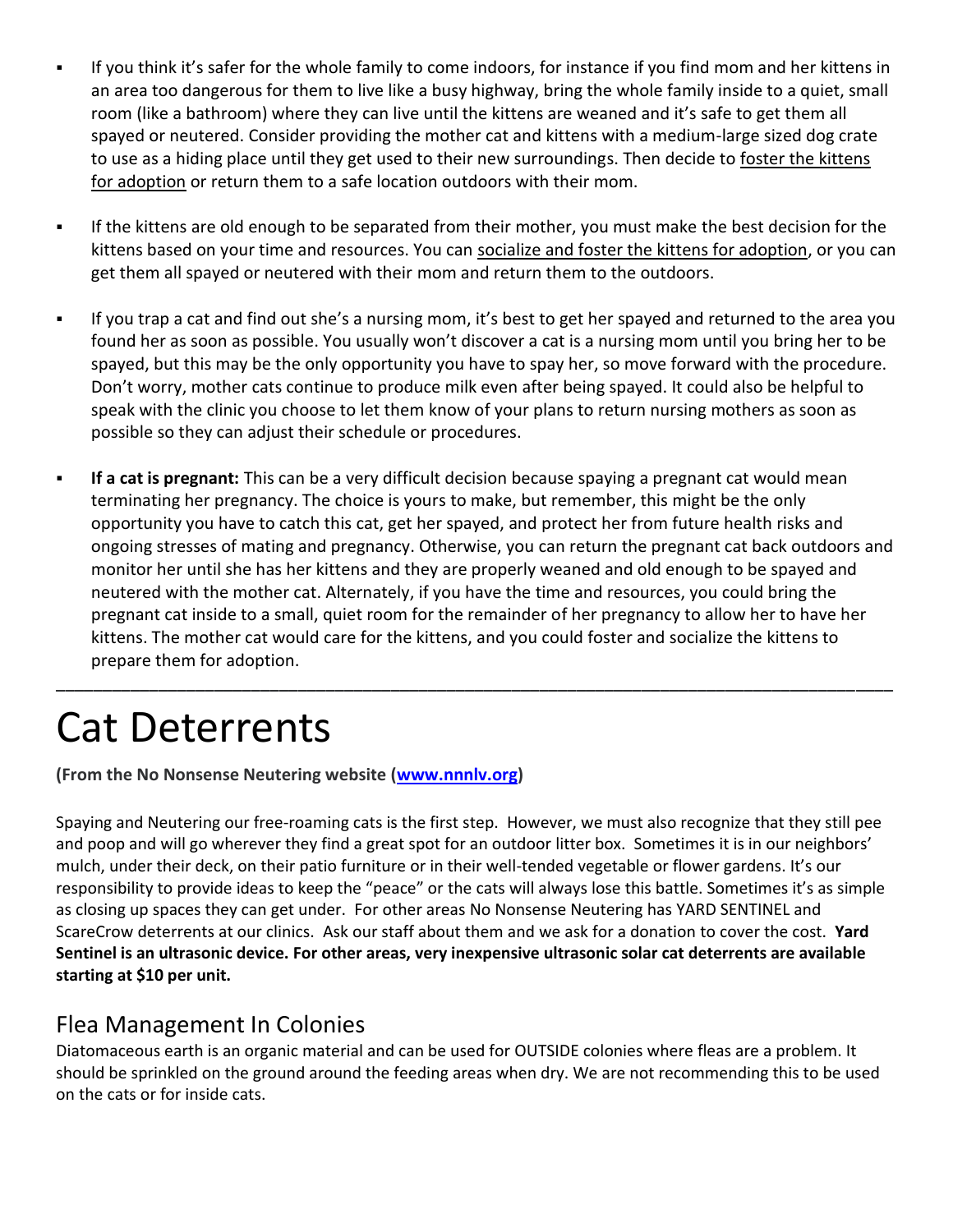- If you think it's safer for the whole family to come indoors, for instance if you find mom and her kittens in an area too dangerous for them to live like a busy highway, bring the whole family inside to a quiet, small room (like a bathroom) where they can live until the kittens are weaned and it's safe to get them all spayed or neutered. Consider providing the mother cat and kittens with a medium-large sized dog crate to use as a hiding place until they get used to their new surroundings. Then decide to [foster the kittens](http://www.alleycat.org/community-cat-care/adoption)  [for adoption](http://www.alleycat.org/community-cat-care/adoption) or return them to a safe location outdoors with their mom.
- If the kittens are old enough to be separated from their mother, you must make the best decision for the kittens based on your time and resources. You can [socialize and foster the kittens for adoption,](http://www.alleycat.org/community-cat-care/socializing-kittens) or you can get them all spayed or neutered with their mom and return them to the outdoors.
- If you trap a cat and find out she's a nursing mom, it's best to get her spayed and returned to the area you found her as soon as possible. You usually won't discover a cat is a nursing mom until you bring her to be spayed, but this may be the only opportunity you have to spay her, so move forward with the procedure. Don't worry, mother cats continue to produce milk even after being spayed. It could also be helpful to speak with the clinic you choose to let them know of your plans to return nursing mothers as soon as possible so they can adjust their schedule or procedures.
- **EXTE:** If a cat is pregnant: This can be a very difficult decision because spaying a pregnant cat would mean terminating her pregnancy. The choice is yours to make, but remember, this might be the only opportunity you have to catch this cat, get her spayed, and protect her from future health risks and ongoing stresses of mating and pregnancy. Otherwise, you can return the pregnant cat back outdoors and monitor her until she has her kittens and they are properly weaned and old enough to be spayed and neutered with the mother cat. Alternately, if you have the time and resources, you could bring the pregnant cat inside to a small, quiet room for the remainder of her pregnancy to allow her to have her kittens. The mother cat would care for the kittens, and you could foster and socialize the kittens to prepare them for adoption.

**\_\_\_\_\_\_\_\_\_\_\_\_\_\_\_\_\_\_\_\_\_\_\_\_\_\_\_\_\_\_\_\_\_\_\_\_\_\_\_\_\_\_\_\_\_\_\_\_\_\_\_\_\_\_\_\_\_\_\_\_\_\_\_\_\_\_\_\_\_\_\_\_\_\_\_\_\_\_\_\_\_\_\_\_\_\_\_\_\_\_**

# Cat Deterrents

**(From the No Nonsense Neutering website [\(www.nnnlv.org\)](http://www.nnnlv.org/)**

Spaying and Neutering our free-roaming cats is the first step. However, we must also recognize that they still pee and poop and will go wherever they find a great spot for an outdoor litter box. Sometimes it is in our neighbors' mulch, under their deck, on their patio furniture or in their well-tended vegetable or flower gardens. It's our responsibility to provide ideas to keep the "peace" or the cats will always lose this battle. Sometimes it's as simple as closing up spaces they can get under. For other areas No Nonsense Neutering has YARD SENTINEL and ScareCrow deterrents at our clinics. Ask our staff about them and we ask for a donation to cover the cost. **Yard Sentinel is an ultrasonic device. For other areas, very inexpensive ultrasonic solar cat deterrents are available starting at \$10 per unit.**

# Flea Management In Colonies

Diatomaceous earth is an organic material and can be used for OUTSIDE colonies where fleas are a problem. It should be sprinkled on the ground around the feeding areas when dry. We are not recommending this to be used on the cats or for inside cats.